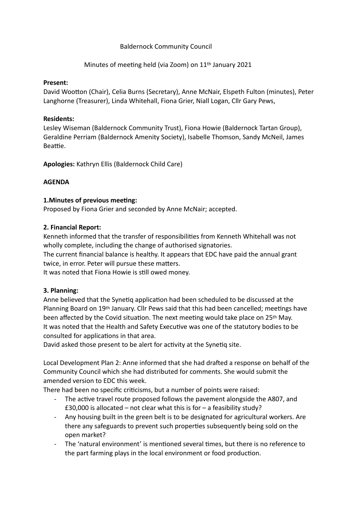## Baldernock Community Council

Minutes of meeting held (via Zoom) on 11<sup>th</sup> January 2021

### **Present:**

David Wootton (Chair), Celia Burns (Secretary), Anne McNair, Elspeth Fulton (minutes), Peter Langhorne (Treasurer), Linda Whitehall, Fiona Grier, Niall Logan, Cllr Gary Pews,

## **Residents:**

Lesley Wiseman (Baldernock Community Trust), Fiona Howie (Baldernock Tartan Group), Geraldine Perriam (Baldernock Amenity Society), Isabelle Thomson, Sandy McNeil, James Beattie.

**Apologies:** Kathryn Ellis (Baldernock Child Care)

# **AGENDA**

### **1. Minutes of previous meeting:**

Proposed by Fiona Grier and seconded by Anne McNair; accepted.

# **2. Financial Report:**

Kenneth informed that the transfer of responsibilities from Kenneth Whitehall was not wholly complete, including the change of authorised signatories.

The current financial balance is healthy. It appears that EDC have paid the annual grant twice, in error. Peter will pursue these matters.

It was noted that Fiona Howie is still owed money.

# **3. Planning:**

Anne believed that the Synetig application had been scheduled to be discussed at the Planning Board on 19th January. Cllr Pews said that this had been cancelled; meetings have been affected by the Covid situation. The next meeting would take place on 25<sup>th</sup> May. It was noted that the Health and Safety Executive was one of the statutory bodies to be consulted for applications in that area.

David asked those present to be alert for activity at the Synetiq site.

Local Development Plan 2: Anne informed that she had drafted a response on behalf of the Community Council which she had distributed for comments. She would submit the amended version to EDC this week.

There had been no specific criticisms, but a number of points were raised:

- The active travel route proposed follows the pavement alongside the A807, and £30,000 is allocated – not clear what this is for – a feasibility study?
- Any housing built in the green belt is to be designated for agricultural workers. Are there any safeguards to prevent such properties subsequently being sold on the open market?
- The 'natural environment' is mentioned several times, but there is no reference to the part farming plays in the local environment or food production.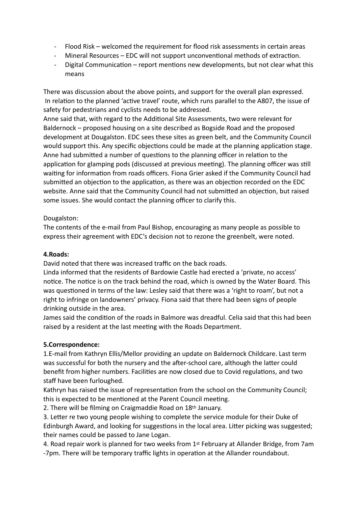- Flood Risk welcomed the requirement for flood risk assessments in certain areas
- Mineral Resources EDC will not support unconventional methods of extraction.
- Digital Communication report mentions new developments, but not clear what this means

There was discussion about the above points, and support for the overall plan expressed. In relation to the planned 'active travel' route, which runs parallel to the A807, the issue of safety for pedestrians and cyclists needs to be addressed.

Anne said that, with regard to the Additional Site Assessments, two were relevant for Baldernock – proposed housing on a site described as Bogside Road and the proposed development at Dougalston. EDC sees these sites as green belt, and the Community Council would support this. Any specific objections could be made at the planning application stage. Anne had submitted a number of questions to the planning officer in relation to the application for glamping pods (discussed at previous meeting). The planning officer was still waiting for information from roads officers. Fiona Grier asked if the Community Council had submitted an objection to the application, as there was an objection recorded on the EDC website. Anne said that the Community Council had not submitted an objection, but raised some issues. She would contact the planning officer to clarify this.

### Dougalston:

The contents of the e-mail from Paul Bishop, encouraging as many people as possible to express their agreement with EDC's decision not to rezone the greenbelt, were noted.

#### **4.Roads:**

David noted that there was increased traffic on the back roads.

Linda informed that the residents of Bardowie Castle had erected a 'private, no access' notice. The notice is on the track behind the road, which is owned by the Water Board. This was questioned in terms of the law: Lesley said that there was a 'right to roam', but not a right to infringe on landowners' privacy. Fiona said that there had been signs of people drinking outside in the area.

James said the condition of the roads in Balmore was dreadful. Celia said that this had been raised by a resident at the last meeting with the Roads Department.

### **5.Correspondence:**

1.E-mail from Kathryn Ellis/Mellor providing an update on Baldernock Childcare. Last term was successful for both the nursery and the after-school care, although the latter could benefit from higher numbers. Facilities are now closed due to Covid regulations, and two staff have been furloughed.

Kathryn has raised the issue of representation from the school on the Community Council; this is expected to be mentioned at the Parent Council meeting.

2. There will be filming on Craigmaddie Road on 18th January.

3. Letter re two young people wishing to complete the service module for their Duke of Edinburgh Award, and looking for suggestions in the local area. Litter picking was suggested; their names could be passed to Jane Logan.

4. Road repair work is planned for two weeks from 1st February at Allander Bridge, from 7am -7pm. There will be temporary traffic lights in operation at the Allander roundabout.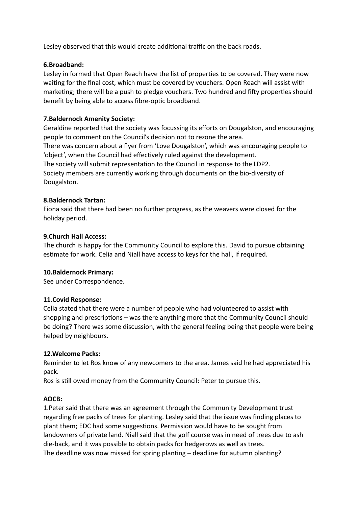Lesley observed that this would create additional traffic on the back roads.

#### **6.Broadband:**

Lesley in formed that Open Reach have the list of properties to be covered. They were now waiting for the final cost, which must be covered by vouchers. Open Reach will assist with marketing; there will be a push to pledge vouchers. Two hundred and fifty properties should benefit by being able to access fibre-optic broadband.

#### **7.Baldernock Amenity Society:**

Geraldine reported that the society was focussing its efforts on Dougalston, and encouraging people to comment on the Council's decision not to rezone the area. There was concern about a flyer from 'Love Dougalston', which was encouraging people to 'object', when the Council had effectively ruled against the development. The society will submit representation to the Council in response to the LDP2. Society members are currently working through documents on the bio-diversity of Dougalston.

#### **8.Baldernock Tartan:**

Fiona said that there had been no further progress, as the weavers were closed for the holiday period.

#### **9.Church Hall Access:**

The church is happy for the Community Council to explore this. David to pursue obtaining estimate for work. Celia and Niall have access to keys for the hall, if required.

#### **10.Baldernock Primary:**

See under Correspondence.

#### **11.Covid Response:**

Celia stated that there were a number of people who had volunteered to assist with shopping and prescriptions – was there anything more that the Community Council should be doing? There was some discussion, with the general feeling being that people were being helped by neighbours.

#### **12.Welcome Packs:**

Reminder to let Ros know of any newcomers to the area. James said he had appreciated his pack.

Ros is still owed money from the Community Council: Peter to pursue this.

### **AOCB:**

1.Peter said that there was an agreement through the Community Development trust regarding free packs of trees for planting. Lesley said that the issue was finding places to plant them; EDC had some suggestions. Permission would have to be sought from landowners of private land. Niall said that the golf course was in need of trees due to ash die-back, and it was possible to obtain packs for hedgerows as well as trees. The deadline was now missed for spring planting – deadline for autumn planting?